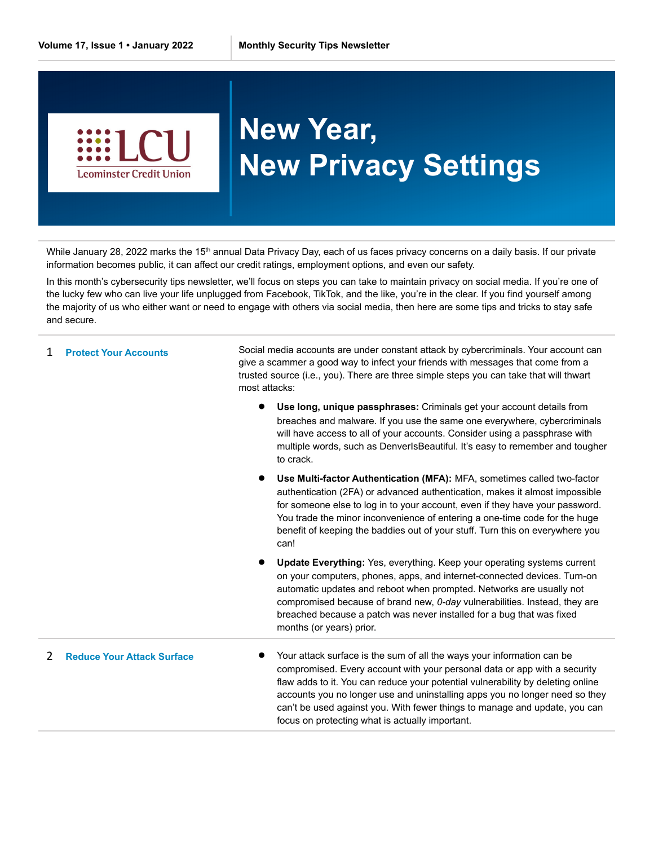

## **New Year, New Privacy Settings**

While January 28, 2022 marks the 15<sup>th</sup> annual Data Privacy Day, each of us faces privacy concerns on a daily basis. If our private information becomes public, it can affect our credit ratings, employment options, and even our safety.

In this month's cybersecurity tips newsletter, we'll focus on steps you can take to maintain privacy on social media. If you're one of the lucky few who can live your life unplugged from Facebook, TikTok, and the like, you're in the clear. If you find yourself among the majority of us who either want or need to engage with others via social media, then here are some tips and tricks to stay safe and secure.

| <b>Protect Your Accounts</b>      | Social media accounts are under constant attack by cybercriminals. Your account can<br>give a scammer a good way to infect your friends with messages that come from a<br>trusted source (i.e., you). There are three simple steps you can take that will thwart<br>most attacks:                                                                                                                                                                      |
|-----------------------------------|--------------------------------------------------------------------------------------------------------------------------------------------------------------------------------------------------------------------------------------------------------------------------------------------------------------------------------------------------------------------------------------------------------------------------------------------------------|
|                                   | Use long, unique passphrases: Criminals get your account details from<br>breaches and malware. If you use the same one everywhere, cybercriminals<br>will have access to all of your accounts. Consider using a passphrase with<br>multiple words, such as DenverIsBeautiful. It's easy to remember and tougher<br>to crack.                                                                                                                           |
|                                   | Use Multi-factor Authentication (MFA): MFA, sometimes called two-factor<br>authentication (2FA) or advanced authentication, makes it almost impossible<br>for someone else to log in to your account, even if they have your password.<br>You trade the minor inconvenience of entering a one-time code for the huge<br>benefit of keeping the baddies out of your stuff. Turn this on everywhere you<br>can!                                          |
|                                   | Update Everything: Yes, everything. Keep your operating systems current<br>on your computers, phones, apps, and internet-connected devices. Turn-on<br>automatic updates and reboot when prompted. Networks are usually not<br>compromised because of brand new, 0-day vulnerabilities. Instead, they are<br>breached because a patch was never installed for a bug that was fixed<br>months (or years) prior.                                         |
| <b>Reduce Your Attack Surface</b> | Your attack surface is the sum of all the ways your information can be<br>compromised. Every account with your personal data or app with a security<br>flaw adds to it. You can reduce your potential vulnerability by deleting online<br>accounts you no longer use and uninstalling apps you no longer need so they<br>can't be used against you. With fewer things to manage and update, you can<br>focus on protecting what is actually important. |
|                                   |                                                                                                                                                                                                                                                                                                                                                                                                                                                        |